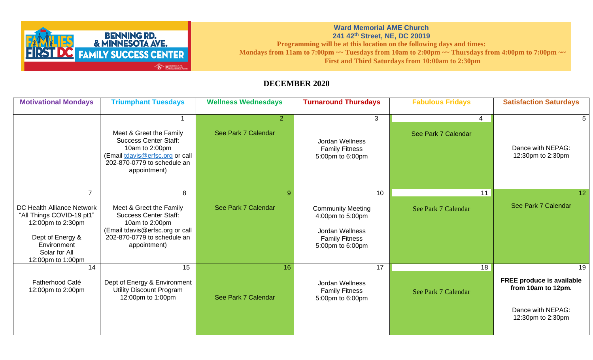

## **Ward Memorial AME Church 241 42th Street, NE, DC 20019 Programming will be at this location on the following days and times:** Mondays from 11am to 7:00pm ~~ Tuesdays from 10am to 2:00pm ~~ Thursdays from 4:00pm to 7:00pm ~~ **First and Third Saturdays from 10:00am to 2:30pm**

## **DECEMBER 2020**

| <b>Motivational Mondays</b>                                                                                                                                             | <b>Triumphant Tuesdays</b>                                                                                                                                       | <b>Wellness Wednesdays</b>            | <b>Turnaround Thursdays</b>                                                                                        | <b>Fabulous Fridays</b>   | <b>Satisfaction Saturdays</b>                                                                          |
|-------------------------------------------------------------------------------------------------------------------------------------------------------------------------|------------------------------------------------------------------------------------------------------------------------------------------------------------------|---------------------------------------|--------------------------------------------------------------------------------------------------------------------|---------------------------|--------------------------------------------------------------------------------------------------------|
|                                                                                                                                                                         | Meet & Greet the Family<br><b>Success Center Staff:</b><br>10am to 2:00pm<br>(Email tdavis@erfsc.org or call<br>202-870-0779 to schedule an<br>appointment)      | $\overline{2}$<br>See Park 7 Calendar | 3<br>Jordan Wellness<br><b>Family Fitness</b><br>5:00pm to 6:00pm                                                  | 4<br>See Park 7 Calendar  | Dance with NEPAG:<br>12:30pm to 2:30pm                                                                 |
| $\overline{7}$<br>DC Health Alliance Network<br>"All Things COVID-19 pt1"<br>12:00pm to 2:30pm<br>Dept of Energy &<br>Environment<br>Solar for All<br>12:00pm to 1:00pm | 8<br>Meet & Greet the Family<br><b>Success Center Staff:</b><br>10am to 2:00pm<br>(Email tdavis@erfsc.org or call<br>202-870-0779 to schedule an<br>appointment) | $\mathbf{Q}$<br>See Park 7 Calendar   | 10<br><b>Community Meeting</b><br>4:00pm to 5:00pm<br>Jordan Wellness<br><b>Family Fitness</b><br>5:00pm to 6:00pm | 11<br>See Park 7 Calendar | 12<br>See Park 7 Calendar                                                                              |
| 14<br>Fatherhood Café<br>12:00pm to 2:00pm                                                                                                                              | 15<br>Dept of Energy & Environment<br><b>Utility Discount Program</b><br>12:00pm to 1:00pm                                                                       | 16<br>See Park 7 Calendar             | 17<br>Jordan Wellness<br><b>Family Fitness</b><br>5:00pm to 6:00pm                                                 | 18<br>See Park 7 Calendar | 19<br><b>FREE produce is available</b><br>from 10am to 12pm.<br>Dance with NEPAG:<br>12:30pm to 2:30pm |